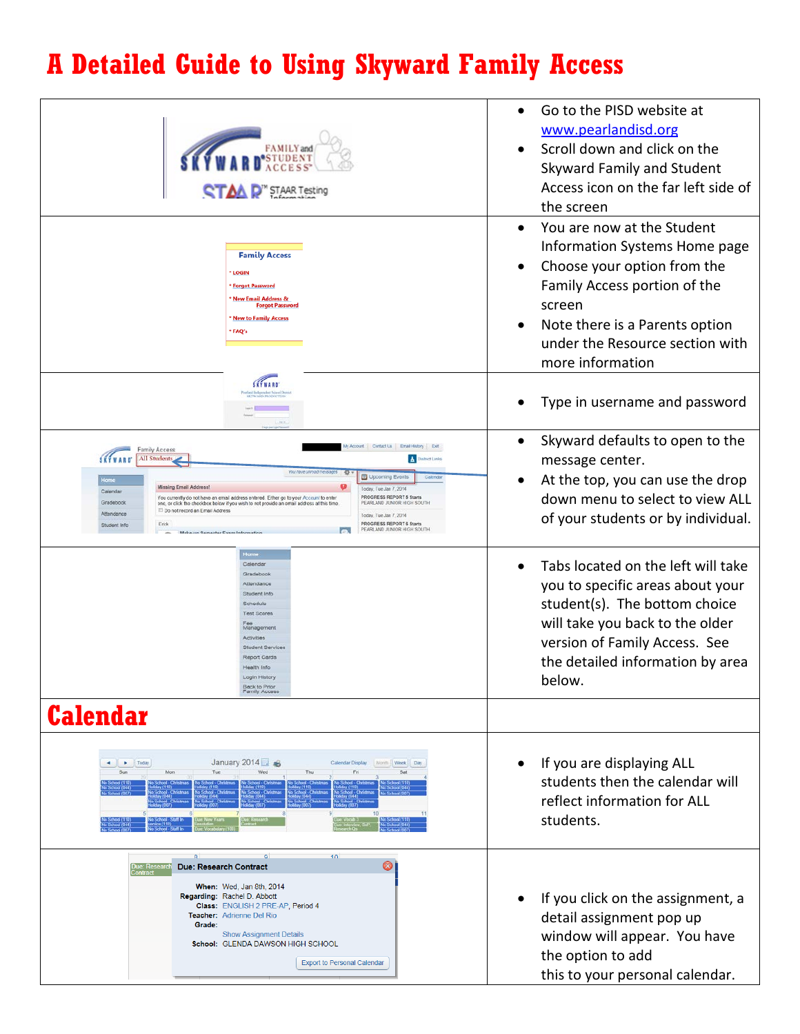## **A Detailed Guide to Using Skyward Family Access**

| <b>FAMILY</b> and                                                                                                                                                                                                                                                                                                                                                                                                                                                                                                                                                                                                                                          | Go to the PISD website at<br>www.pearlandisd.org<br>Scroll down and click on the<br>Skyward Family and Student<br>Access icon on the far left side of<br>the screen                                                                        |
|------------------------------------------------------------------------------------------------------------------------------------------------------------------------------------------------------------------------------------------------------------------------------------------------------------------------------------------------------------------------------------------------------------------------------------------------------------------------------------------------------------------------------------------------------------------------------------------------------------------------------------------------------------|--------------------------------------------------------------------------------------------------------------------------------------------------------------------------------------------------------------------------------------------|
| <b>Family Access</b><br>* LOGIN<br>* Forgot Password<br><b>New Email Address &amp;</b><br><b>Forgot Password</b><br>* New to Family Access<br>* FAQ's                                                                                                                                                                                                                                                                                                                                                                                                                                                                                                      | You are now at the Student<br>$\bullet$<br>Information Systems Home page<br>Choose your option from the<br>Family Access portion of the<br>screen<br>Note there is a Parents option<br>under the Resource section with<br>more information |
| <b>SETWARD</b><br>ded bdgesler felesi (k<br>KEVVARD PRODUCTION                                                                                                                                                                                                                                                                                                                                                                                                                                                                                                                                                                                             | Type in username and password                                                                                                                                                                                                              |
| V Account Contact Us Email History<br>Family Access<br><b>All Students</b><br><b>District Links</b><br>Upcoming Events<br>Calenda<br>Missing Email Address!<br>Today, Tue Jan 7, 2014<br>Calendar<br>PROGRESS REPORT 5 Starts<br>You currently do not have an email address entered. Either go to your Account to enter<br>Gradebook<br>PEARLAND JUNIOR HIGH SOUTH<br>one, or click the checkbox below if you wish to not provide an email address at this time<br>Do not record an Email Address<br>Attendance<br>Today, Tue Jan 7, 2014<br>PROGRESS REPORTS Starts<br>Erick<br>Student Info<br>PEARLAND JUNIOR HIGH SOUTH<br>Make.un Semester Evam Infor | Skyward defaults to open to the<br>message center.<br>At the top, you can use the drop<br>down menu to select to view ALL<br>of your students or by individual.                                                                            |
| Calendar<br>Gradebook<br>Attendance<br>Student Info<br>Schedule<br><b>Test Scores</b><br>Management<br>Activities<br><b>Student Services</b><br>Report Cards<br>Health Info<br>Login History<br>Back to Prior<br>Family Access                                                                                                                                                                                                                                                                                                                                                                                                                             | Tabs located on the left will take<br>you to specific areas about your<br>student(s). The bottom choice<br>will take you back to the older<br>version of Family Access. See<br>the detailed information by area<br>below.                  |
| <b>Calendar</b>                                                                                                                                                                                                                                                                                                                                                                                                                                                                                                                                                                                                                                            |                                                                                                                                                                                                                                            |
| January 2014 . a<br>$\blacksquare$<br>Today<br>Calendar Display<br>Week<br>٠<br>Sun<br>Mon                                                                                                                                                                                                                                                                                                                                                                                                                                                                                                                                                                 | If you are displaying ALL<br>students then the calendar will<br>reflect information for ALL<br>students.                                                                                                                                   |
| 1 <sub>n</sub><br>0<br>Due: Research Contract<br>When: Wed, Jan 8th, 2014<br>Regarding: Rachel D. Abbott<br>Class: ENGLISH 2 PRE-AP, Period 4<br>Teacher: Adrienne Del Rio<br>Grade:<br><b>Show Assignment Details</b><br>School: GLENDA DAWSON HIGH SCHOOL<br><b>Export to Personal Calendar</b>                                                                                                                                                                                                                                                                                                                                                          | If you click on the assignment, a<br>detail assignment pop up<br>window will appear. You have<br>the option to add<br>this to your personal calendar.                                                                                      |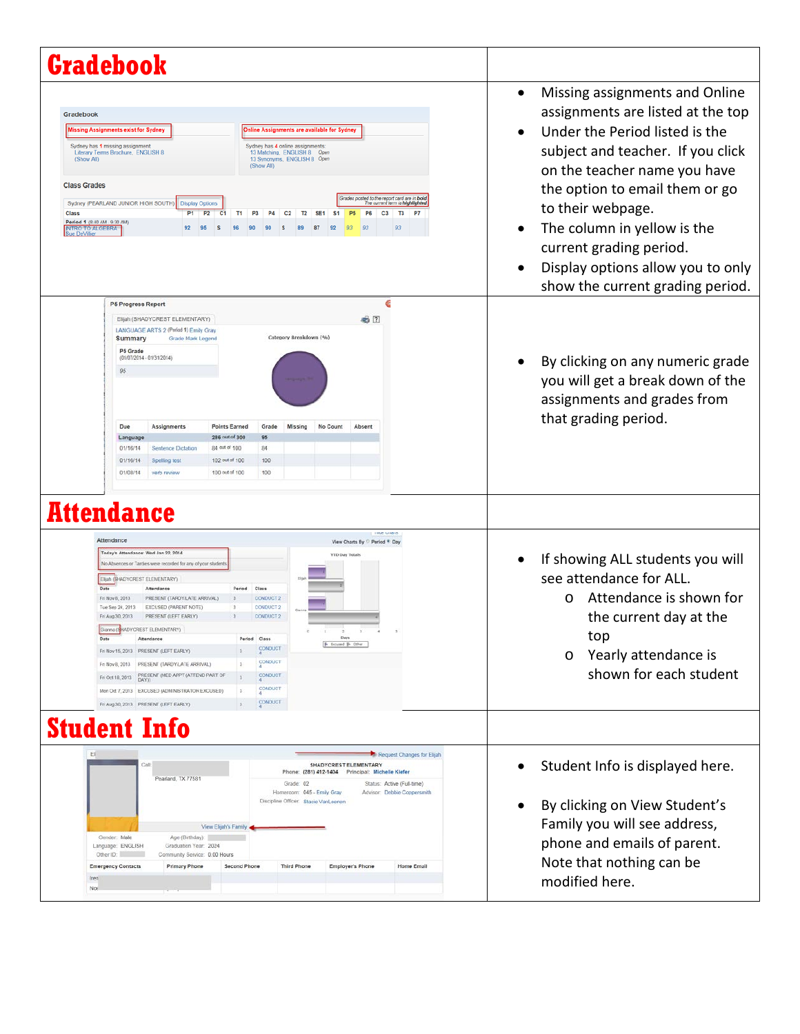| <b>Gradebook</b>                                                                                                                                                                                                                                                                                                                                                                                                                                                                                                                                                                                                                                                                                                                                                                                                                                                                                                                                                                             |                                                                                                                                                                                                                                                                                                                                                                      |
|----------------------------------------------------------------------------------------------------------------------------------------------------------------------------------------------------------------------------------------------------------------------------------------------------------------------------------------------------------------------------------------------------------------------------------------------------------------------------------------------------------------------------------------------------------------------------------------------------------------------------------------------------------------------------------------------------------------------------------------------------------------------------------------------------------------------------------------------------------------------------------------------------------------------------------------------------------------------------------------------|----------------------------------------------------------------------------------------------------------------------------------------------------------------------------------------------------------------------------------------------------------------------------------------------------------------------------------------------------------------------|
| Gradebook<br><b>Missing Assignments exist for Sydney</b><br><b>Online Assignments are available for Sydney</b><br>Sydney has 1 missing assignment<br>Sydney has 4 online assignments:<br>Literary Terms Brochure, ENGLISH 8<br>13 Matching, ENGLISH 8 Open<br>(Show All)<br>13 Synonyms, ENGLISH 8 Open<br>(Show All)<br><b>Class Grades</b><br>Grades posted to the report card are in bole<br>Sydney (PEARLAND JUNIOR HIGH SOUTH)<br><b>Display Options</b><br>Class<br>P <sub>1</sub><br>P <sub>2</sub><br>C <sub>1</sub><br>T1<br>C3<br>T3<br>Period 1 /8:40 AM - 9:30 AM)<br>93<br><b>INTRO TO ALGEBRA</b><br>Sue DeVillier                                                                                                                                                                                                                                                                                                                                                             | Missing assignments and Online<br>assignments are listed at the top<br>Under the Period listed is the<br>subject and teacher. If you click<br>on the teacher name you have<br>the option to email them or go<br>to their webpage.<br>The column in yellow is the<br>current grading period.<br>Display options allow you to only<br>show the current grading period. |
| E<br>P5 Progress Report<br>32<br>Elijah (SHADYCREST ELEMENTARY)<br>LANGUAGE ARTS 2 (Period 1) Emily Gray<br>Category Breakdown (%)<br>Summary<br>Grade Mark Legend<br>P5 Grade<br>$(01/07/2014 - 01/31/2014)$<br>95<br>Assignments<br><b>Points Earned</b><br>Grade<br>Missing<br>No Count<br>Due<br>Absent<br>286 out of 300<br>95<br>Language<br>01/16/14<br><b>Sentence Dictation</b><br>84 out of 100<br>84<br>01/16/14<br>Spelling test<br>102 out of 100<br>100<br>01/08/14<br>100 out of 100<br>100<br>verb review                                                                                                                                                                                                                                                                                                                                                                                                                                                                    | By clicking on any numeric grade<br>you will get a break down of the<br>assignments and grades from<br>that grading period.                                                                                                                                                                                                                                          |
| Attendance<br><b><i>LINE VINESS</i></b><br>Attendance<br>View Charts By <sup>D</sup> Period <sup>®</sup> Day<br>Today's Attendance: Wed Jan 22, 2014<br><b>YTD Day Totals</b><br>No Absences or Tardies were recorded for any of your student<br>Eljah (SHADYCREST ELEMENTARY)<br>Date<br>Attendance<br>Period<br>Class<br>Fri Nov 8, 2013<br>PRESENT (TARDY/LATE ARRIVAL)<br>CONDUCT 2<br>EXCUSED (PARENT NOTE)<br>CONDUCT 2<br>Tue Sep 24, 2013<br>э<br>CONDUCT 2<br>Fri Aug 30, 2013<br>PRESENT (LEFT EARLY)<br>Gianna (SHADYCREST ELEMENTARY)<br>Period Class<br>Days<br>Date<br>Attendance<br><b>E</b> fictured <b>E</b> Other<br><b>CONDUCT</b><br>Fri Nov 15, 2013 PRESENT (LEFT EARLY)<br>CONDUCT<br>Fr Nov 8, 2013    PRESENT (TARDY/LATE ARRIVAL)<br>PRESENT (MED APPT (ATTEND PART OF<br>CONDUCT<br>Fri Oct 18, 2013<br>CONDUCT<br>Mon Oct 7, 2013 EXCUSED (ADMINISTRATOR EXCUSED)<br>$\overline{\mathbf{3}}$<br>CONDUCT<br>Fr: Aug 30, 2013 PRESENT (LEFT EARLY)<br>$\mathbf{R}$ | If showing ALL students you will<br>see attendance for ALL.<br>Attendance is shown for<br>$\Omega$<br>the current day at the<br>top<br>Yearly attendance is<br>$\circ$<br>shown for each student                                                                                                                                                                     |
| <b>Student Info</b><br>Request Changes for Elijah<br>SHADYCREST ELEMENTARY<br>Call<br>Phone: (281) 412-1404 Principal: Michelle Kiefer<br>Pearland, TX 77581<br>Status: Active (Full-time)<br>Grade: 02<br>Homeroom: 045 - Emily Gray<br>Advisor: Debbie Coppersmith<br>Discipline Officer: Stacie VanLoenen<br>View Elijah's Family<br>Gender: Male<br>Age (Birthday):<br>Language: ENGLISH<br>Graduation Year: 2024<br>Other ID:<br>Community Service: 0.00 Hours<br><b>Emergency Contacts</b><br><b>Primary Phone</b><br>Second Phone<br><b>Third Phone</b><br>Employer's Phone<br>Home Email<br>Iren<br>Noe                                                                                                                                                                                                                                                                                                                                                                              | Student Info is displayed here.<br>By clicking on View Student's<br>Family you will see address,<br>phone and emails of parent.<br>Note that nothing can be<br>modified here.                                                                                                                                                                                        |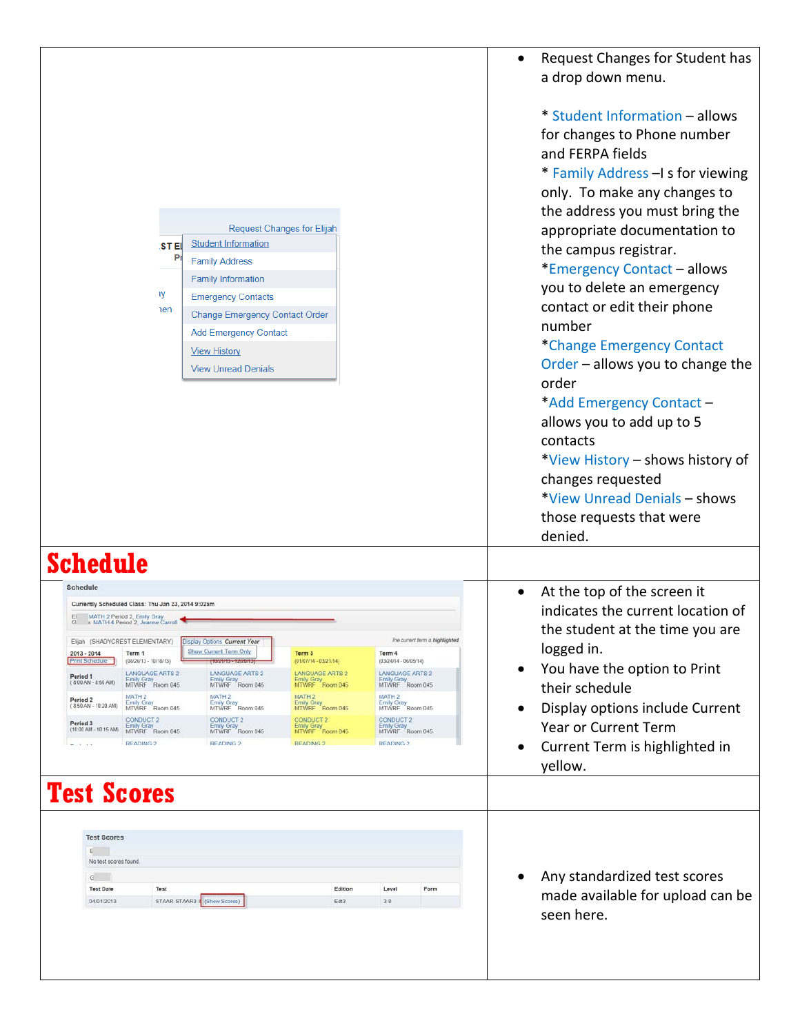|                                                                                                                                                                                                                                                                                                                                                                                                                                                                                                                                                                                            |                                                                                                                                                                                                                                                           |                                                                                                                                                                                                                              |                                                                                                                                                                                                                                                  | Request Changes for Student has<br>a drop down menu.                                                                                                                                                                                                                                                                                                                                                                                                                                                                                                                                                                                    |
|--------------------------------------------------------------------------------------------------------------------------------------------------------------------------------------------------------------------------------------------------------------------------------------------------------------------------------------------------------------------------------------------------------------------------------------------------------------------------------------------------------------------------------------------------------------------------------------------|-----------------------------------------------------------------------------------------------------------------------------------------------------------------------------------------------------------------------------------------------------------|------------------------------------------------------------------------------------------------------------------------------------------------------------------------------------------------------------------------------|--------------------------------------------------------------------------------------------------------------------------------------------------------------------------------------------------------------------------------------------------|-----------------------------------------------------------------------------------------------------------------------------------------------------------------------------------------------------------------------------------------------------------------------------------------------------------------------------------------------------------------------------------------------------------------------------------------------------------------------------------------------------------------------------------------------------------------------------------------------------------------------------------------|
| ıy<br>en                                                                                                                                                                                                                                                                                                                                                                                                                                                                                                                                                                                   | <b>Student Information</b><br>ST EI<br>P<br><b>Family Address</b><br><b>Family Information</b><br><b>Emergency Contacts</b><br><b>Change Emergency Contact Order</b><br><b>Add Emergency Contact</b><br><b>View History</b><br><b>View Unread Denials</b> | <b>Request Changes for Elijah</b>                                                                                                                                                                                            |                                                                                                                                                                                                                                                  | * Student Information - allows<br>for changes to Phone number<br>and FERPA fields<br>* Family Address - I s for viewing<br>only. To make any changes to<br>the address you must bring the<br>appropriate documentation to<br>the campus registrar.<br>*Emergency Contact - allows<br>you to delete an emergency<br>contact or edit their phone<br>number<br>*Change Emergency Contact<br>Order - allows you to change the<br>order<br>*Add Emergency Contact -<br>allows you to add up to 5<br>contacts<br>*View History - shows history of<br>changes requested<br>*View Unread Denials - shows<br>those requests that were<br>denied. |
| <b>Schedule</b><br><b>Schedule</b><br>Currently Scheduled Class: Thu Jan 23, 2014 9:02am<br>El MATH 2 Period 2, Emily Gray<br>G x MATH 4 Period 2, Jeanne Carroll<br>Elijah (SHADYCREST ELEMENTARY)<br>$2013 - 2014$<br>Term 1<br><b>Print Schedule</b><br>$(08/26/13 - 10/18/13)$<br>LANGUAGE ARTS 2<br>Period 1<br>Emily Gray<br>(8:00 AM - 8:50 AM)<br>MTWRF Room 045<br>MATH <sub>2</sub><br>Period 2<br>Emily Gray<br>MTWRF Room 045<br>(8:50 AM - 10:20 AM)<br>CONDUCT <sub>2</sub><br>Period 3<br>Emily Gray<br>MTWRF Room 045<br>(10:00 AM - 10:15 AM)<br><b>READING 2</b><br>$-1$ | Display Options Current Year<br>Show Current Term Only<br><b>LANGUAGE ARTS 2</b><br>Emily Gray<br>MTWRF Room 045<br>MATH <sub>2</sub><br>Emily Gray<br>MTWRF Room 045<br><b>CONDUCT 2</b><br>Emily Gray<br>MTWRF Room 045<br><b>READING 2</b>             | Term 3<br>$(01/07/14 - 03/21/14)$<br><b>LANGUAGE ARTS 2</b><br>Emily Gray<br>MTWRF Room 045<br>MATH <sub>2</sub><br>Emily Gray<br>MTWRF Room 045<br>CONDUCT <sub>2</sub><br>Emily Gray<br>MTWRF Room 045<br><b>READING 2</b> | The current term is highlighted<br>Term 4<br>$(03/24/14 - 06/05/14)$<br><b>LANGUAGE ARTS 2</b><br>Emily Gray<br>MTWRF Room 045<br>MATH 2<br>Emily Gray<br>MTWRF Room 045<br><b>CONDUCT 2</b><br>Emily Gray<br>MTWRF Room 045<br><b>READING 2</b> | At the top of the screen it<br>indicates the current location of<br>the student at the time you are<br>logged in.<br>You have the option to Print<br>their schedule<br>Display options include Current<br><b>Year or Current Term</b><br>Current Term is highlighted in<br>yellow.                                                                                                                                                                                                                                                                                                                                                      |
| <b>Test Scores</b><br><b>Test Scores</b><br>$E = 1$<br>No test scores found.<br>G<br><b>Test Date</b><br>Test<br>04/01/2013                                                                                                                                                                                                                                                                                                                                                                                                                                                                | STAAR-STAAR3-8<br>(Show Scores)                                                                                                                                                                                                                           | Edition<br>Edt3                                                                                                                                                                                                              | Level<br>Form<br>3.8                                                                                                                                                                                                                             | Any standardized test scores<br>made available for upload can be<br>seen here.                                                                                                                                                                                                                                                                                                                                                                                                                                                                                                                                                          |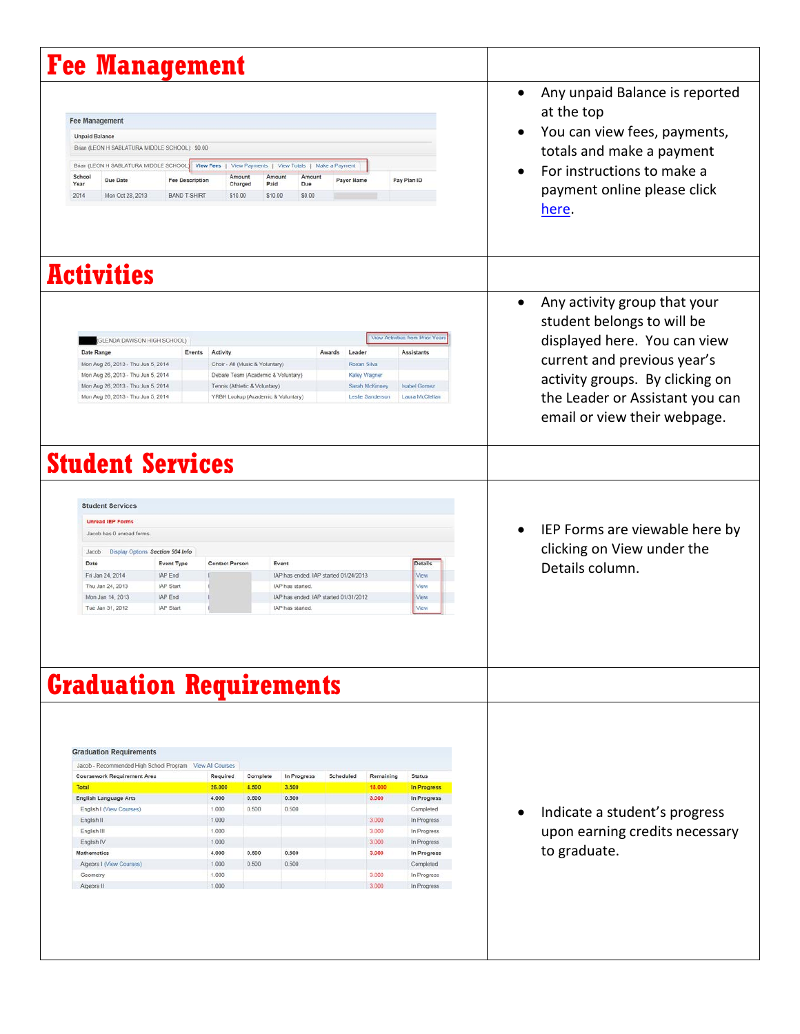| <b>Fee Management</b>                                                                                                                                                                                                                                                                                                 |                                                                                                                                                                    |                                                                                                                                 |                                                                                    |                                                                                    |                                                                                                                                                                 |                                                                                                                                                                                                                                              |
|-----------------------------------------------------------------------------------------------------------------------------------------------------------------------------------------------------------------------------------------------------------------------------------------------------------------------|--------------------------------------------------------------------------------------------------------------------------------------------------------------------|---------------------------------------------------------------------------------------------------------------------------------|------------------------------------------------------------------------------------|------------------------------------------------------------------------------------|-----------------------------------------------------------------------------------------------------------------------------------------------------------------|----------------------------------------------------------------------------------------------------------------------------------------------------------------------------------------------------------------------------------------------|
| <b>Fee Management</b><br><b>Unpaid Balance</b><br>Brian (LEON H SABLATURA MIDDLE SCHOOL): \$0.00<br>Brian (LEON H SABLATURA MIDDLE SCHOOL)<br>School<br>Due Date<br>Year<br>Mon Oct 28, 2013<br>2014<br><b>BAND T-SHIRT</b>                                                                                           | View Fees   View Payments   View Totals   Make a Payment<br>Amount<br><b>Fee Description</b><br>Charged<br>\$10.00                                                 | Amount<br>Amoun!<br>Paid<br>Due<br>\$10.00<br>\$0.00                                                                            | Payor Name                                                                         | Pay Plan ID                                                                        |                                                                                                                                                                 | Any unpaid Balance is reported<br>at the top<br>You can view fees, payments,<br>$\bullet$<br>totals and make a payment<br>For instructions to make a<br>payment online please click<br>here.                                                 |
| <b>Activities</b>                                                                                                                                                                                                                                                                                                     |                                                                                                                                                                    |                                                                                                                                 |                                                                                    |                                                                                    |                                                                                                                                                                 |                                                                                                                                                                                                                                              |
| <b>GLENDA DAWSON HIGH SCHOOL)</b><br>Date Range<br>Mon Aug 26, 2013 - Thu Jun 5, 2014<br>Mon Aug 26, 2013 - Thu Jun 5, 2014<br>Mon Aug 26, 2013 - Thu Jun 5, 2014<br>Mon Aug 26, 2013 - Thu Jun 5, 2014                                                                                                               | Events<br>Activity<br>Choir - All (Music & Voluntary)<br>Debate Team (Academic & Voluntary)<br>Tennis (Athletic & Voluntary)<br>YRBK Lookup (Academic & Voluntary) |                                                                                                                                 | Awards Leader<br>Roxan Silva<br>Kaley Wagner<br>Sarah McKinney<br>Leslie Sanderson | View Activities from Prior Year<br>Assistants                                      | <b>Isabel Gomez</b><br>Laura McClellan                                                                                                                          | Any activity group that your<br>$\bullet$<br>student belongs to will be<br>displayed here. You can view<br>current and previous year's<br>activity groups. By clicking on<br>the Leader or Assistant you can<br>email or view their webpage. |
| <b>Student Services</b>                                                                                                                                                                                                                                                                                               |                                                                                                                                                                    |                                                                                                                                 |                                                                                    |                                                                                    |                                                                                                                                                                 |                                                                                                                                                                                                                                              |
| <b>Student Services</b><br><b>Unread IEP Forms</b><br>Jacob has 0 unread forms.<br>Display Options Section 504 Info<br>Jacob<br>Date<br><b>Event Type</b><br>IAP End<br>Fri Jan 24, 2014<br>Thu Jan 24, 2013<br>IAP Start<br>Mon Jan 14, 2013<br>IAP End<br>Tue Jan 31, 2012<br>IAP Start                             | <b>Contact Person</b>                                                                                                                                              | Event<br>IAP has ended. IAP started 01/24/2013<br>IAP has started.<br>IAP has ended. IAP started 01/31/2012<br>IAP has started. |                                                                                    |                                                                                    | <b>Details</b><br>View<br>View<br>View<br>View                                                                                                                  | IEP Forms are viewable here by<br>$\bullet$<br>clicking on View under the<br>Details column.                                                                                                                                                 |
| <b>Graduation Requirements</b>                                                                                                                                                                                                                                                                                        |                                                                                                                                                                    |                                                                                                                                 |                                                                                    |                                                                                    |                                                                                                                                                                 |                                                                                                                                                                                                                                              |
| <b>Graduation Requirements</b><br>Jacob - Recommended High School Program View All Courses<br><b>Coursework Requirement Area</b><br>Total<br><b>English Language Arts</b><br>English I (View Courses)<br>English II<br>English III<br>English IV<br>Mathematics<br>Algebra I (View Courses)<br>Geometry<br>Algebra II | Required<br>Complete<br>26,000<br>4.500<br>4.000<br>0.500<br>1.000<br>0.500<br>1.000<br>1.000<br>1.000<br>4.000<br>0.500<br>1.000<br>0.500<br>1.000<br>1.000       | In Progress<br>3.500<br>0.500<br>0.500<br>0.500<br>0.500                                                                        | Scheduled                                                                          | Remaining<br>18.000<br>3.000<br>3.000<br>3.000<br>3.000<br>3.000<br>3.000<br>3.000 | <b>Status</b><br>In Progress<br>In Progress<br>Completed<br>In Progress<br>In Progress<br>In Progress<br>In Progress<br>Completed<br>In Progress<br>In Progress | Indicate a student's progress<br>$\bullet$<br>upon earning credits necessary<br>to graduate.                                                                                                                                                 |